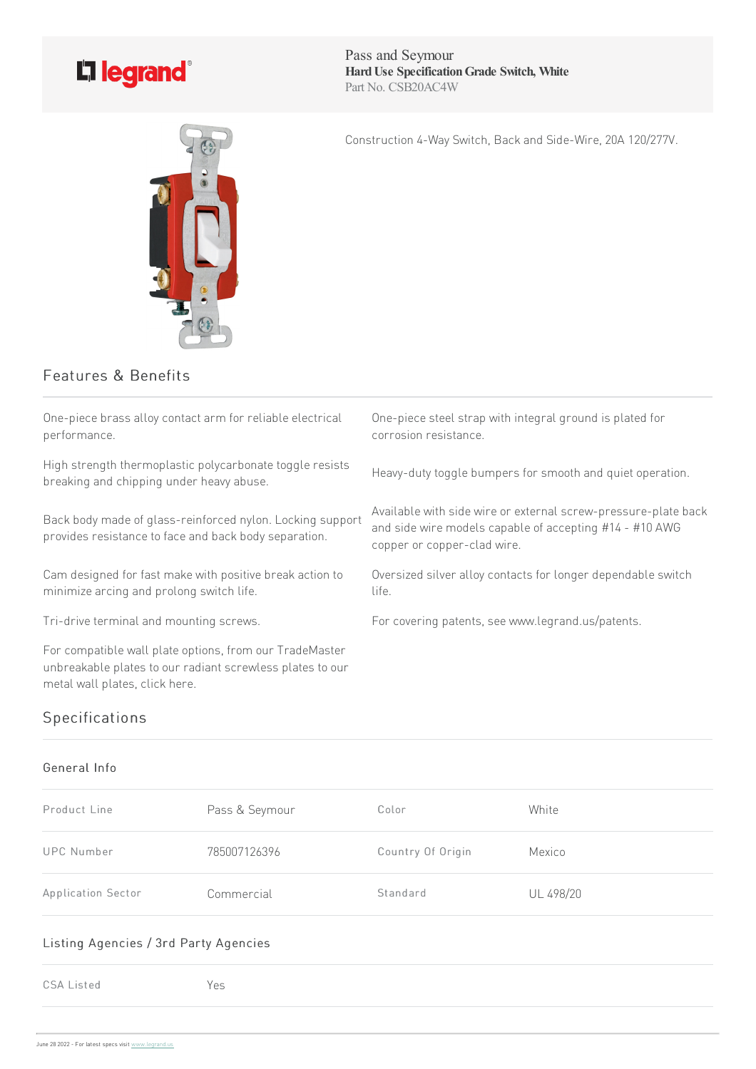

Pass and Seymour **HardUse SpecificationGrade Switch, White** Part No. CSB20AC4W

Construction 4-Way Switch, Back and Side-Wire, 20A 120/277V.



## Features & Benefits

One-piece brass alloy contact arm for reliable electrical performance.

High strength thermoplastic polycarbonate toggle resists breaking and chipping under heavy abuse.

Back body made of glass-reinforced nylon. Locking support provides resistance to face and back body separation.

Cam designed for fast make with positive break action to minimize arcing and prolong switch life.

For compatible wall plate options, from our TradeMaster unbreakable plates to our radiant screwless plates to our metal wall plates, click here.

One-piece steel strap with integral ground is plated for corrosion resistance.

Heavy-duty toggle bumpers for smooth and quiet operation.

Available with side wire or external screw-pressure-plate back and side wire models capable of accepting #14 - #10 AWG copper or copper-clad wire.

Oversized silver alloy contacts for longer dependable switch life.

Tri-drive terminal and mounting screws. For covering patents, see www.legrand.us/patents.

# Specifications

#### General Info

| Product Line       | Pass & Seymour | Color             | White     |
|--------------------|----------------|-------------------|-----------|
| UPC Number         | 785007126396   | Country Of Origin | Mexico    |
| Application Sector | Commercial     | Standard          | UL 498/20 |

#### Listing Agencies / 3rd Party Agencies

CSA Listed Yes